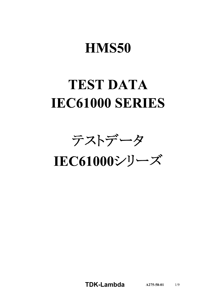# **HMS50**

# **TEST DATA IEC61000 SERIES**

テストデータ

IEC61000シリーズ

**TDK-Lambda**  $A275-58-01$  1/9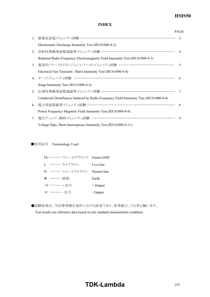# **HMS50**

### **INDEX**

|                |                                                                                      | <b>PAGE</b>  |
|----------------|--------------------------------------------------------------------------------------|--------------|
| 1.             | 静電気放電イミュニティ試験 ……………………………………………………………… 3                                             |              |
|                | Electrostatic Discharge Immunity Test (IEC61000-4-2)                                 |              |
| 2.             | 放射性無線周波数電磁界イミュニティ試験 ………………………………………………… 4                                            |              |
|                | Radiated Radio-Frequency Electromagnetic Field Immunity Test (IEC61000-4-3)          |              |
| 3 <sub>1</sub> | 電気的ファーストトランジェントバーストイミュニティ試験 …………………………………                                            | $\zeta$      |
|                | Electrical Fast Transient / Burst Immunity Test (IEC61000-4-4)                       |              |
|                | 4. サージイミュニティ試験 ……………………………………………………………                                               | 6            |
|                | Surge Immunity Test (IEC61000-4-5)                                                   |              |
| 5 <sub>1</sub> | 伝導性無線周波数電磁界イミュニティ試験 ………………………………………………                                               | 7            |
|                | Conducted Disturbances Induced by Radio-Frequency Field Immunity Test (IEC61000-4-6) |              |
| 6.             | 電力周波数磁界イミュニティ試験 ………………………………………………………                                                | $\mathbf{8}$ |
|                | Power Frequency Magnetic Field Immunity Test (IEC61000-4-8)                          |              |
| 7.             | 電圧ディップ、瞬停イミュニティ試験 ……………………………………………………                                               | $\mathbf Q$  |
|                | Voltage Dips, Short Interruptions Immunity Test (IEC61000-4-11)                      |              |

■使用記号 Terminology Used

| FG …… フレームグラウンド Frame GND   |            |
|-----------------------------|------------|
| I. ・・・・・・・ ライブライン           | Live line  |
| N …… ニュートラルライン Neutral line |            |
| → …… 接地                     | Earth      |
| +V …… +出力                   | $+$ Output |
| -V …… - 出力                  | - Output   |

■試験結果は、当社標準測定条件における結果であり、参考値としてお考え願います。

Test results are reference data based on our standard measurement condition.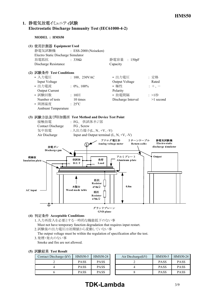## **1. Electrostatic Discharge Immunity Test (IEC6100042)**

**MODEL : HMS50**



### **(4) Acceptable Conditions**

1.入力再投入を必要とする一時的な機能低下のない事 Must not have temporary function degradation that requires input restart.

2.試験後の出力電圧は初期値から変動していない事

The output voltage must be within the regulation of specification after the test.

3.発煙・発火のない事

Smoke and fire are not allowed.

|  |  | (5) 試験結果 Test Result |
|--|--|----------------------|
|--|--|----------------------|

| Contact Discharge (kV) | <b>HMS50-5</b> | HMS50-24    | Air Discharge $(kV)$ | <b>HMS50-5</b> | HMS50-24    |
|------------------------|----------------|-------------|----------------------|----------------|-------------|
|                        | <b>PASS</b>    | <b>PASS</b> |                      | <b>PASS</b>    | <b>PASS</b> |
|                        | <b>PASS</b>    | <b>PASS</b> |                      | <b>PASS</b>    | <b>PASS</b> |
|                        | <b>PASS</b>    | PASS        |                      | <b>PASS</b>    | <b>PASS</b> |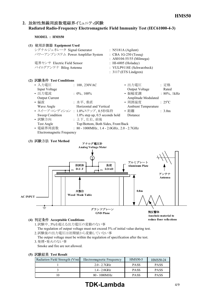## 2. 放射性無線周波数電磁界イミュニティ試験 **Radiated RadioFrequency Electromagnetic Field Immunity Test (IEC6100043)**

**MODEL : HMS50**

| (1) | 使用計測器 Equipment Used              |                                 |
|-----|-----------------------------------|---------------------------------|
|     | シグナルジェネレータ Signal Generator       | : N5181A (Agilent)              |
|     | パワーアンプシステム Power Amplifier System | $\therefore$ CBA 1G-250 (Teseq) |
|     |                                   | : AS0104-55/55 (Milmega)        |
|     | 電界センサ Electric Field Sensor       | : HI-6005 (Holaday)             |
|     | バイログアンテナ Bilog Antenna            | : VULP9118E (Schwarzbeck)       |
|     |                                   | $: 3117$ (ETS Lindgren)         |
|     | (2) 試験条件 Test Conditions          |                                 |

| $\eta$ prox $\pi$ in the conditions |                                                       |                     |                          |
|-------------------------------------|-------------------------------------------------------|---------------------|--------------------------|
| • 入力電圧                              | : $100, 230$ VAC                                      | • 出力電圧              | :定格                      |
| Input Voltage                       |                                                       | Output Voltage      | Rated                    |
| • 出力電流                              | : $0\%$ , $100\%$                                     | • 振幅変調              | $: 80\%$ , 1kHz          |
| <b>Output Current</b>               |                                                       | Amplitude Modulated |                          |
| • 偏波                                | :水平、垂直                                                | • 周囲温度              | $\div$ 25 <sup>o</sup> C |
| Wave Angle                          | Horizontal and Vertical                               | Ambient Temperature |                          |
|                                     | • スイープ·コンディション: 1.0%ステップ、0.5秒保持                       | • 距離                | $\therefore$ 3.0m        |
| Sweep Condition                     | $1.0\%$ step up, 0.5 seconds hold                     | Distance            |                          |
| • 試験方向                              | : 上下、左右、前後                                            |                     |                          |
| Test Angle                          | Top/Bottom, Both Sides, Front/Back                    |                     |                          |
| • 電磁界周波数                            | : $80 - 1000 \text{MHz}$ , 1.4 - 2.0GHz, 2.0 - 2.7GHz |                     |                          |
| Electromagnetic Frequency           |                                                       |                     |                          |

#### **(3) Test Method**



#### **(4) Acceptable Conditions**

1.試験中、5%を超える出力電圧の変動のない事 The regulation of output voltage must not exceed 5% of initial value during test.

2.試験後の出力電圧は初期値から変動していない事

The output voltage must be within the regulation of specification after the test. 3.発煙・発火のない事

Smoke and fire are not allowed.

#### **(5) Test Result**

| Radiation Field Strength $(V/m)$ | Electromagnetic Frequency | <b>HMS50-5</b> | HMS50-24    |
|----------------------------------|---------------------------|----------------|-------------|
|                                  | $2.0 - 2.7$ GHz           | <b>PASS</b>    | <b>PASS</b> |
|                                  | $1.4 - 2.0$ GHz           | <b>PASS</b>    | <b>PASS</b> |
|                                  | $80 - 1000 MHz$           | <b>PASS</b>    | <b>PASS</b> |

# **TDK-Lambda** 4/9

**reduce floor reflections**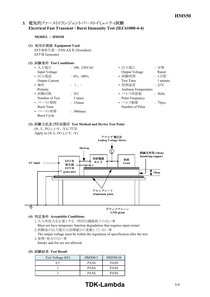## 3. 電気的ファーストトランジェントバーストイミュニティ試験 **Electrical Fast Transient / Burst Immunity Test (IEC6100044)**

#### **MODEL : HMS50**

- **(1) Equipment Used** EFT/B発生器 : FNSAXⅡ (Noiseken) EFT/B Generator
- **(2) Test Conditions**

| • 入力電圧                | : $100, 230 \text{VAC}$ | • 出力電圧                     | : 定格                |
|-----------------------|-------------------------|----------------------------|---------------------|
| Input Voltage         |                         | Output Voltage             | Rated               |
| • 出力電流                | : $0\%$ , $100\%$       | • 試験時間                     | : 1分間               |
| <b>Output Current</b> |                         | <b>Test Time</b>           | 1 minute            |
| • 極性                  | $+,-$                   | • 周囲温度                     | $: 25^{\circ}C$     |
| Polarity              |                         | <b>Ambient Temperature</b> |                     |
| • 試験回数                | : 3                     | • パルス周波数                   | : 5kHz              |
| Number of Test        | 3 times                 | <b>Pulse Frequency</b>     |                     |
| • バースト期間              | $: 15$ msec             | • パルス個数                    | : 75 <sub>pcs</sub> |
| <b>Burst Time</b>     |                         | Number of Pulse            |                     |
| • バースト周期              | $\therefore$ 300 msec   |                            |                     |
| Burst Cycle           |                         |                            |                     |

# **(3) Test Method and Device Test Point**



- 1.入力再投入を必要とする一時的な機能低下のない事 Must not have temporary function degradation that requires input restart.
	- 2.試験後の出力電圧は初期値から変動していない事
	- The output voltage must be within the regulation of specification after the test. 3.発煙・発火のない事

Smoke and fire are not allowed.

**(5) Test Result**

| Test Voltage (kV) | <b>HMS50-5</b> | HMS50-24    |
|-------------------|----------------|-------------|
| 05                | <b>PASS</b>    | <b>PASS</b> |
|                   | <b>PASS</b>    | <b>PASS</b> |
|                   | <b>PASS</b>    | <b>PASS</b> |

# **TDK-Lambda** 5/9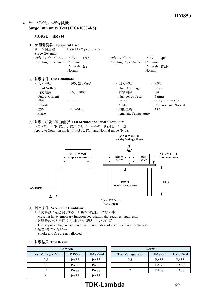## **4. Surge Immunity Test (IEC6100045)**

#### **MODEL : HMS50**

| 使用計測器 Equipment Used<br>(1)<br>Surge Generator<br>結合インピーダンス: コモン 12Ω<br>Coupling Impedance Common                           | サージ発生器 : LSS-15AX (Noiseken)<br>ノーマル 20<br>Normal                   | 結合コンデンサ : コモン<br>Coupling Capacitance                                                                          | $9\mu F$<br>Common<br>ノーマル 18µF<br>Normal                                         |
|-----------------------------------------------------------------------------------------------------------------------------|---------------------------------------------------------------------|----------------------------------------------------------------------------------------------------------------|-----------------------------------------------------------------------------------|
| (2) 試験条件 Test Conditions<br>• 入力電圧<br>Input Voltage<br>• 出力電流<br><b>Output Current</b><br>• 極性<br>Polarity<br>• 位相<br>Phase | $: 100, 230 \text{VAC}$<br>$: 0\%$ , 100%<br>$: +$<br>$: 0, 90$ deg | • 出力電圧<br>Output Voltage<br>• 試験回数<br>Number of Tests<br>• モード<br>Mode<br>• 周囲温度<br><b>Ambient Temperature</b> | • 定格<br>Rated<br>: 5<br>5 times<br>: コモン、ノーマル<br>Common and Normal<br>$\div$ 25°C |

**(3) Test Method and Device Test Point** コモンモード (NFG 、LFG ) 及びノーマルモード (NL) に印加 Apply to Common mode (N-FG, L-FG) and Normal mode (N-L).



#### **(4) Acceptable Conditions**

- 1.入力再投入を必要とする一時的な機能低下のない事 Must not have temporary function degradation that requires input restart.
- 2.試験後の出力電圧は初期値から変動していない事
- The output voltage must be within the regulation of specification after the test. 3.発煙・発火のない事
- Smoke and fire are not allowed.

#### **(5) Test Result**

| Common            |                |             |                   |
|-------------------|----------------|-------------|-------------------|
| Test Voltage (kV) | <b>HMS50-5</b> | HMS50-24    | Test Voltage (kV) |
| 0.5               | <b>PASS</b>    | <b>PASS</b> | 0.5               |
|                   | <b>PASS</b>    | <b>PASS</b> |                   |
|                   | <b>PASS</b>    | <b>PASS</b> |                   |
|                   | <b>PASS</b>    | <b>PASS</b> |                   |

| юn                         |             | Normal            |                |             |  |
|----------------------------|-------------|-------------------|----------------|-------------|--|
| <b>HMS50-5</b><br>HMS50-24 |             | Test Voltage (kV) | <b>HMS50-5</b> | HMS50-24    |  |
| <b>PASS</b>                | <b>PASS</b> | 0.5               | <b>PASS</b>    | <b>PASS</b> |  |
| <b>PASS</b>                | <b>PASS</b> |                   | <b>PASS</b>    | <b>PASS</b> |  |
| <b>PASS</b>                | <b>PASS</b> |                   | <b>PASS</b>    | <b>PASS</b> |  |
|                            |             |                   |                |             |  |

# **TDK-Lambda** 6/9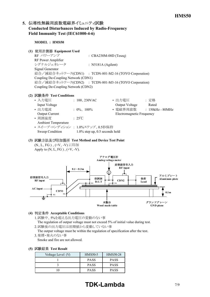## 5. 伝導性無線周波数電磁界イミュニティ試験 **Conducted Disturbances Induced by RadioFrequency** Field Immunity Test (IEC61000-4-6)

**MODEL : HMS50**

#### **(1) Equipment Used**

 $RF \sim \mathcal{PT} \sim \mathcal{TP}$  : CBA230M-08D (Teseq) RF Power Amplifier シグナルジェネレータ : N5181A (Agilent) Signal Generator 結合/減結合ネットワーク(CDN1) : TCDN-801-M2-16 (TOYO Corporation) Coupling De-Coupling Network (CDN1) 結合/減結合ネットワーク(CDN2) : TCDN-801-M3-16 (TOYO Corporation) Coupling De-Coupling Network (CDN2)

#### **(2) Test Conditions**

| • 入力電圧                          | : $100, 230 \text{VAC}$           | • 出力電圧                    | : 定格               |
|---------------------------------|-----------------------------------|---------------------------|--------------------|
| Input Voltage                   |                                   | Output Voltage            | Rated              |
| • 出力電流                          | : $0\%$ , $100\%$                 | • 電磁界周波数                  | $: 150kHz - 80MHz$ |
| <b>Output Current</b>           |                                   | Electromagnetic Frequency |                    |
| • 周囲温度                          | $\cdot$ 25°C                      |                           |                    |
| <b>Ambient Temperature</b>      |                                   |                           |                    |
| • スイープ·コンディション: 1.0%ステップ、0.5秒保持 |                                   |                           |                    |
| Sweep Condition                 | $1.0\%$ step up, 0.5 seconds hold |                           |                    |

#### **(3) Test Method and Device Test Point** (N、L、FG)、(+V、-V)に印加 Apply to  $(N, L, FG)$ ,  $(+V, -V)$ .



#### **(4) Acceptable Conditions**

- 1.試験中、5%を超える出力電圧の変動のない事 The regulation of output voltage must not exceed 5% of initial value during test.
- 2.試験後の出力電圧は初期値から変動していない事

The output voltage must be within the regulation of specification after the test. 3.発煙・発火のない事

Smoke and fire are not allowed.

|  | (5) 試験結果 Test Result |  |  |
|--|----------------------|--|--|
|--|----------------------|--|--|

| Voltage Level (V) | <b>HMS50-5</b> | HMS50-24    |
|-------------------|----------------|-------------|
|                   | <b>PASS</b>    | <b>PASS</b> |
|                   | <b>PASS</b>    | <b>PASS</b> |
|                   | <b>PASS</b>    | <b>PASS</b> |

# **TDK-Lambda** 7/9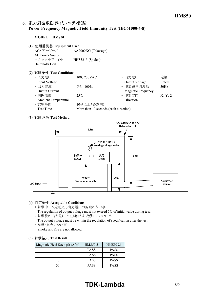## 6. 電力周波数磁界イミュニティ試験 **Power Frequency Magnetic Field Immunity Test (IEC6100048)**

#### **MODEL : HMS50**

- **(1) Equipment Used**
	- ACパワーソース : AA2000XG (Takasago) AC Power Source ヘルムホルツコイル : HHS5215 (Spulen) Helmholts Coil

#### **(2) Test Conditions**

| • 入力雷圧                     | : $100, 230$ VAC                      | • 出力電圧                    | : 定格     |
|----------------------------|---------------------------------------|---------------------------|----------|
| Input Voltage              |                                       | Output Voltage            | Rated    |
| • 出力電流                     | : $0\%$ , $100\%$                     | • 印加磁界周波数                 | : 50Hz   |
| <b>Output Current</b>      |                                       | <b>Magnetic Frequency</b> |          |
| • 周囲温度                     | $\div$ 25°C                           | • 印加方向                    | :X, Y, Z |
| <b>Ambient Temperature</b> |                                       | Direction                 |          |
| • 試験時間                     | : 10秒以上(各方向)                          |                           |          |
| <b>Test Time</b>           | More than 10 seconds (each direction) |                           |          |
|                            |                                       |                           |          |

#### **(3) Test Method**



#### **(4) Acceptable Conditions**

1.試験中、5%を超える出力電圧の変動のない事

The regulation of output voltage must not exceed 5% of initial value during test. 2.試験後の出力電圧は初期値から変動していない事

The output voltage must be within the regulation of specification after the test. 3.発煙・発火のない事

Smoke and fire are not allowed.

#### **(5) Test Result**

| Magnetic Field Strength $(A/m)$ | HMS50-5     | HMS50-24    |
|---------------------------------|-------------|-------------|
|                                 | <b>PASS</b> | <b>PASS</b> |
|                                 | <b>PASS</b> | <b>PASS</b> |
|                                 | <b>PASS</b> | <b>PASS</b> |
|                                 | <b>PASS</b> | <b>PASS</b> |

# **TDK-Lambda** 8/9